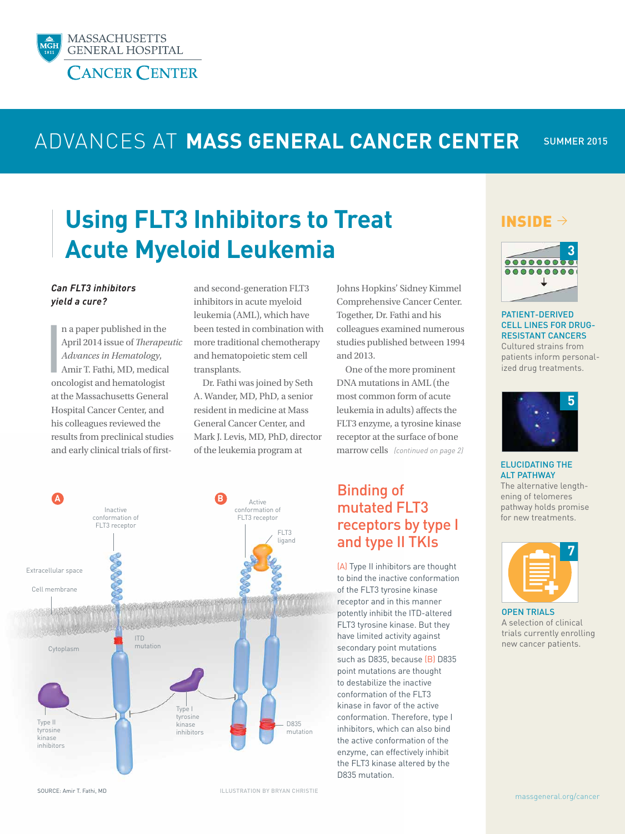

## SUMMER 2015 ADVANCES AT **MASS GENERAL CANCER CENTER**

# **Using FLT3 Inhibitors to Treat Acute Myeloid Leukemia**

### *Can FLT3 inhibitors yield a cure?*

 $\frac{1}{2}$ n a paper published in the April 2014 issue of *Therapeutic Advances in Hematology*, Amir T. Fathi, MD, medical oncologist and hematologist at the Massachusetts General Hospital Cancer Center, and his colleagues reviewed the results from preclinical studies and early clinical trials of first-

and second-generation FLT3 inhibitors in acute myeloid leukemia (AML), which have been tested in combination with more traditional chemotherapy and hematopoietic stem cell transplants.

Dr. Fathi was joined by Seth A. Wander, MD, PhD, a senior resident in medicine at Mass General Cancer Center, and Mark J. Levis, MD, PhD, director of the leukemia program at

Johns Hopkins' Sidney Kimmel Comprehensive Cancer Center. Together, Dr. Fathi and his colleagues examined numerous studies published between 1994 and 2013.

One of the more prominent DNA mutations in AML (the most common form of acute leukemia in adults) affects the FLT3 enzyme, a tyrosine kinase receptor at the surface of bone marrow cells *(continued on page 2)* 

# Binding of mutated FLT3 receptors by type I and type II TKIs

(A) Type II inhibitors are thought to bind the inactive conformation of the FLT3 tyrosine kinase receptor and in this manner potently inhibit the ITD-altered FLT3 tyrosine kinase. But they have limited activity against secondary point mutations such as D835, because (B) D835 point mutations are thought to destabilize the inactive conformation of the FLT3 kinase in favor of the active conformation. Therefore, type I inhibitors, which can also bind the active conformation of the enzyme, can effectively inhibit the FLT3 kinase altered by the D835 mutation.

# INSIDE  $\rightarrow$



PATIENT-DERIVED CELL LINES FOR DRUG-RESISTANT CANCERS Cultured strains from

patients inform personalized drug treatments.



ELUCIDATING THE ALT PATHWAY

The alternative lengthening of telomeres pathway holds promise for new treatments.



OPEN TRIALS A selection of clinical trials currently enrolling new cancer patients.



SOURCE: Amir T. Fathi, MD

ILLUSTRATION BY BRYAN CHRISTIE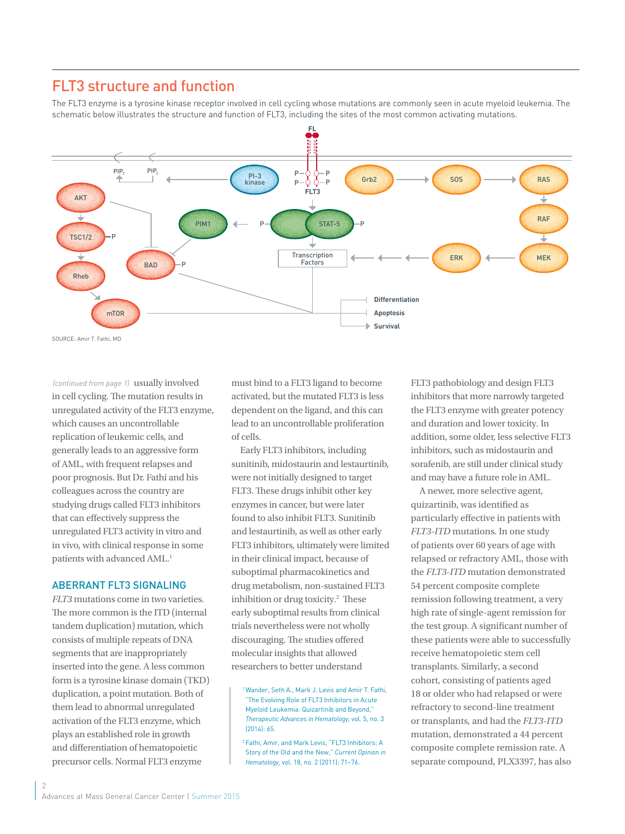# FLT3 structure and function

The FLT3 enzyme is a tyrosine kinase receptor involved in cell cycling whose mutations are commonly seen in acute myeloid leukemia. The schematic below illustrates the structure and function of FLT3, including the sites of the most common activating mutations.



(continued from page 1) usually involved in cell cycling. The mutation results in unregulated activity of the FLT3 enzyme, which causes an uncontrollable replication of leukemic cells, and generally leads to an aggressive form of AML, with frequent relapses and poor prognosis. But Dr. Fathi and his colleagues across the country are studying drugs called FLT3 inhibitors that can effectively suppress the unregulated FLT3 activity in vitro and in vivo, with clinical response in some patients with advanced AML.<sup>1</sup>

### ABERRANT FLT3 SIGNALING

*FLT3* mutations come in two varieties. The more common is the ITD (internal tandem duplication) mutation, which consists of multiple repeats of DNA segments that are inappropriately inserted into the gene. A less common form is a tyrosine kinase domain (TKD) duplication, a point mutation. Both of them lead to abnormal unregulated activation of the FLT3 enzyme, which plays an established role in growth and differentiation of hematopoietic precursor cells. Normal FLT3 enzyme

must bind to a FLT3 ligand to become activated, but the mutated FLT3 is less dependent on the ligand, and this can lead to an uncontrollable proliferation of cells.

Early FLT3 inhibitors, including sunitinib, midostaurin and lestaurtinib, were not initially designed to target FLT3. These drugs inhibit other key enzymes in cancer, but were later found to also inhibit FLT3. Sunitinib and lestaurtinib, as well as other early FLT3 inhibitors, ultimately were limited in their clinical impact, because of suboptimal pharmacokinetics and drug metabolism, non-sustained FLT3 inhibition or drug toxicity.<sup>2</sup> These early suboptimal results from clinical trials nevertheless were not wholly discouraging. The studies offered molecular insights that allowed researchers to better understand

<sup>1</sup> Wander, Seth A., Mark J. Levis and Amir T. Fathi, "The Evolving Role of FLT3 Inhibitors in Acute Myeloid Leukemia: Quizartinib and Beyond," *Therapeutic Advances in Hematology,* vol. 5, no. 3 (2014): 65.

2 Fathi, Amir, and Mark Levis, "FLT3 Inhibitors: A Story of the Old and the New," *Current Opinion in Hematology,* vol. 18, no. 2 (2011): 71–76.

FLT3 pathobiology and design FLT3 inhibitors that more narrowly targeted the FLT3 enzyme with greater potency and duration and lower toxicity. In addition, some older, less selective FLT3 inhibitors, such as midostaurin and sorafenib, are still under clinical study and may have a future role in AML.

A newer, more selective agent, quizartinib, was identified as particularly effective in patients with *FLT3-ITD* mutations. In one study of patients over 60 years of age with relapsed or refractory AML, those with the *FLT3-ITD* mutation demonstrated 54 percent composite complete remission following treatment, a very high rate of single-agent remission for the test group. A significant number of these patients were able to successfully receive hematopoietic stem cell transplants. Similarly, a second cohort, consisting of patients aged 18 or older who had relapsed or were refractory to second-line treatment or transplants, and had the *FLT3-ITD* mutation, demonstrated a 44 percent composite complete remission rate. A separate compound, PLX3397, has also

 $\mathcal{P}$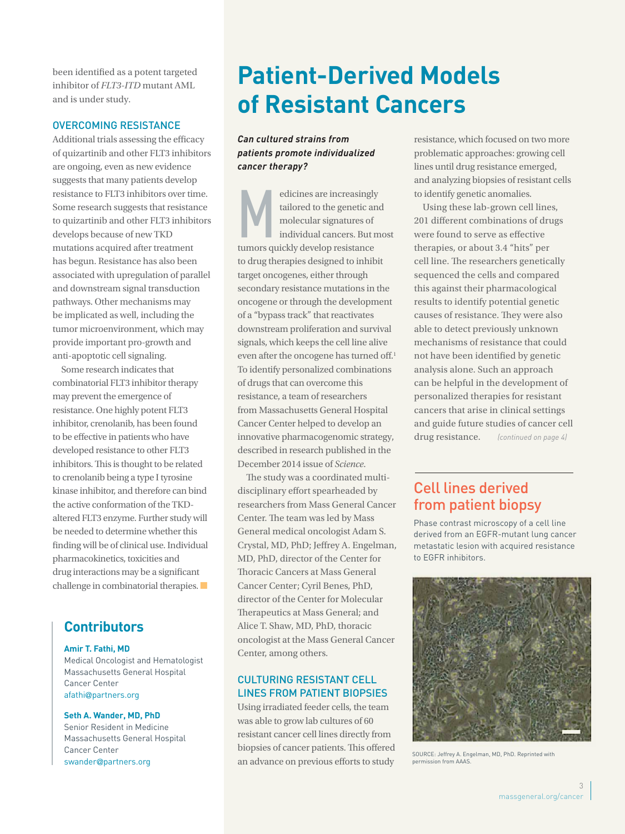been identified as a potent targeted inhibitor of *FLT3-ITD* mutant AML and is under study.

### OVERCOMING RESISTANCE

Additional trials assessing the efficacy of quizartinib and other FLT3 inhibitors are ongoing, even as new evidence suggests that many patients develop resistance to FLT3 inhibitors over time. Some research suggests that resistance to quizartinib and other FLT3 inhibitors develops because of new TKD mutations acquired after treatment has begun. Resistance has also been associated with upregulation of parallel and downstream signal transduction pathways. Other mechanisms may be implicated as well, including the tumor microenvironment, which may provide important pro-growth and anti-apoptotic cell signaling.

Some research indicates that combinatorial FLT3 inhibitor therapy may prevent the emergence of resistance. One highly potent FLT3 inhibitor, crenolanib, has been found to be effective in patients who have developed resistance to other FLT3 inhibitors. This is thought to be related to crenolanib being a type I tyrosine kinase inhibitor, and therefore can bind the active conformation of the TKDaltered FLT3 enzyme. Further study will be needed to determine whether this finding will be of clinical use. Individual pharmacokinetics, toxicities and drug interactions may be a significant challenge in combinatorial therapies. ■

# **Contributors**

### **Amir T. Fathi, MD**

Medical Oncologist and Hematologist Massachusetts General Hospital Cancer Center afathi@partners.org

### **Seth A. Wander, MD, PhD**

Senior Resident in Medicine Massachusetts General Hospital Cancer Center swander@partners.org

# **Patient-Derived Models of Resistant Cancers**

## *Can cultured strains from patients promote individualized cancer therapy?*

Edicines are increasingly<br>tailored to the genetic and<br>molecular signatures of<br>individual cancers. But m<br>tumors quickly develop resistance tailored to the genetic and molecular signatures of individual cancers. But most tumors quickly develop resistance to drug therapies designed to inhibit target oncogenes, either through secondary resistance mutations in the oncogene or through the development of a "bypass track" that reactivates downstream proliferation and survival signals, which keeps the cell line alive even after the oncogene has turned off.<sup>1</sup> To identify personalized combinations of drugs that can overcome this resistance, a team of researchers from Massachusetts General Hospital Cancer Center helped to develop an innovative pharmacogenomic strategy, described in research published in the December 2014 issue of *Science*.

The study was a coordinated multidisciplinary effort spearheaded by researchers from Mass General Cancer Center. The team was led by Mass General medical oncologist Adam S. Crystal, MD, PhD; Jeffrey A. Engelman, MD, PhD, director of the Center for Thoracic Cancers at Mass General Cancer Center; Cyril Benes, PhD, director of the Center for Molecular Therapeutics at Mass General; and Alice T. Shaw, MD, PhD, thoracic oncologist at the Mass General Cancer Center, among others.

# CULTURING RESISTANT CELL LINES FROM PATIENT BIOPSIES

Using irradiated feeder cells, the team was able to grow lab cultures of 60 resistant cancer cell lines directly from biopsies of cancer patients. This offered an advance on previous efforts to study

resistance, which focused on two more problematic approaches: growing cell lines until drug resistance emerged, and analyzing biopsies of resistant cells to identify genetic anomalies.

Using these lab-grown cell lines, 201 different combinations of drugs were found to serve as effective therapies, or about 3.4 "hits" per cell line. The researchers genetically sequenced the cells and compared this against their pharmacological results to identify potential genetic causes of resistance. They were also able to detect previously unknown mechanisms of resistance that could not have been identified by genetic analysis alone. Such an approach can be helpful in the development of personalized therapies for resistant cancers that arise in clinical settings and guide future studies of cancer cell drug resistance. *(continued on page 4)* 

# Cell lines derived from patient biopsy

Phase contrast microscopy of a cell line derived from an EGFR-mutant lung cancer metastatic lesion with acquired resistance to EGFR inhibitors.



SOURCE: Jeffrey A. Engelman, MD, PhD. Reprinted with permission from AAAS.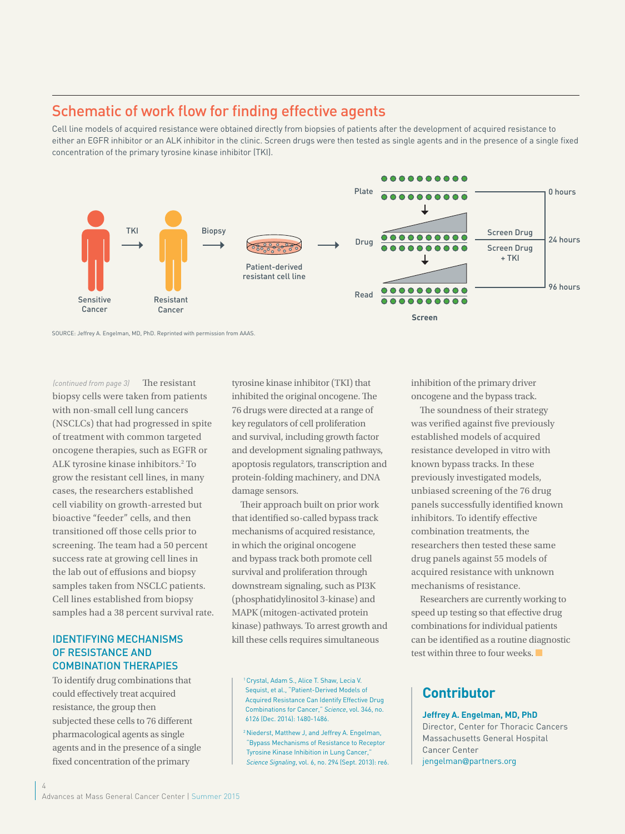# Schematic of work flow for finding effective agents

Cell line models of acquired resistance were obtained directly from biopsies of patients after the development of acquired resistance to either an EGFR inhibitor or an ALK inhibitor in the clinic. Screen drugs were then tested as single agents and in the presence of a single fixed concentration of the primary tyrosine kinase inhibitor (TKI).



SOURCE: Jeffrey A. Engelman, MD, PhD. Reprinted with permission from AAAS.

The resistant biopsy cells were taken from patients with non-small cell lung cancers (NSCLCs) that had progressed in spite of treatment with common targeted oncogene therapies, such as EGFR or ALK tyrosine kinase inhibitors.<sup>2</sup> To grow the resistant cell lines, in many cases, the researchers established cell viability on growth-arrested but bioactive "feeder" cells, and then transitioned off those cells prior to screening. The team had a 50 percent success rate at growing cell lines in the lab out of effusions and biopsy samples taken from NSCLC patients. Cell lines established from biopsy samples had a 38 percent survival rate. *(continued from page 3)* 

### IDENTIFYING MECHANISMS OF RESISTANCE AND COMBINATION THERAPIES

To identify drug combinations that could effectively treat acquired resistance, the group then subjected these cells to 76 different pharmacological agents as single agents and in the presence of a single fixed concentration of the primary

4

tyrosine kinase inhibitor (TKI) that inhibited the original oncogene. The 76 drugs were directed at a range of key regulators of cell proliferation and survival, including growth factor and development signaling pathways, apoptosis regulators, transcription and protein-folding machinery, and DNA damage sensors.

Their approach built on prior work that identified so-called bypass track mechanisms of acquired resistance, in which the original oncogene and bypass track both promote cell survival and proliferation through downstream signaling, such as PI3K (phosphatidylinositol 3-kinase) and MAPK (mitogen-activated protein kinase) pathways. To arrest growth and kill these cells requires simultaneous

1Crystal, Adam S., Alice T. Shaw, Lecia V. Sequist, et al., "Patient-Derived Models of Acquired Resistance Can Identify Effective Drug Combinations for Cancer," *Science*, vol. 346, no. 6126 (Dec. 2014): 1480-1486.

2 Niederst, Matthew J, and Jeffrey A. Engelman, "Bypass Mechanisms of Resistance to Receptor Tyrosine Kinase Inhibition in Lung Cancer," *Science Signaling*, vol. 6, no. 294 (Sept. 2013): re6. inhibition of the primary driver oncogene and the bypass track.

The soundness of their strategy was verified against five previously established models of acquired resistance developed in vitro with known bypass tracks. In these previously investigated models, unbiased screening of the 76 drug panels successfully identified known inhibitors. To identify effective combination treatments, the researchers then tested these same drug panels against 55 models of acquired resistance with unknown mechanisms of resistance.

Researchers are currently working to speed up testing so that effective drug combinations for individual patients can be identified as a routine diagnostic test within three to four weeks. ■

# **Contributor**

## **Jeffrey A. Engelman, MD, PhD**

Director, Center for Thoracic Cancers Massachusetts General Hospital Cancer Center jengelman@partners.org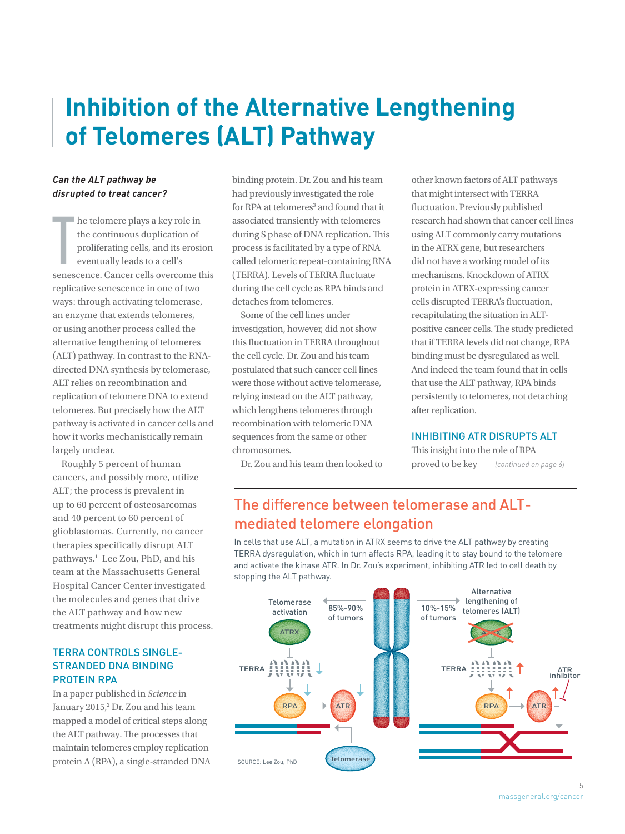# **Inhibition of the Alternative Lengthening of Telomeres (ALT) Pathway**

## *Can the ALT pathway be disrupted to treat cancer?*

 $\prod_{\text{const}}$ he telomere plays a key role in the continuous duplication of proliferating cells, and its erosion eventually leads to a cell's senescence. Cancer cells overcome this replicative senescence in one of two ways: through activating telomerase, an enzyme that extends telomeres, or using another process called the alternative lengthening of telomeres (ALT) pathway. In contrast to the RNAdirected DNA synthesis by telomerase, ALT relies on recombination and replication of telomere DNA to extend telomeres. But precisely how the ALT pathway is activated in cancer cells and how it works mechanistically remain largely unclear.

Roughly 5 percent of human cancers, and possibly more, utilize ALT; the process is prevalent in up to 60 percent of osteosarcomas and 40 percent to 60 percent of glioblastomas. Currently, no cancer therapies specifically disrupt ALT pathways.1 Lee Zou, PhD, and his team at the Massachusetts General Hospital Cancer Center investigated the molecules and genes that drive the ALT pathway and how new treatments might disrupt this process.

## TERRA CONTROLS SINGLE-STRANDED DNA BINDING PROTEIN RPA

In a paper published in *Science* in January 2015,<sup>2</sup> Dr. Zou and his team mapped a model of critical steps along the ALT pathway. The processes that maintain telomeres employ replication protein A (RPA), a single-stranded DNA

binding protein. Dr. Zou and his team had previously investigated the role for RPA at telomeres<sup>3</sup> and found that it associated transiently with telomeres during S phase of DNA replication. This process is facilitated by a type of RNA called telomeric repeat-containing RNA (TERRA). Levels of TERRA fluctuate during the cell cycle as RPA binds and detaches from telomeres.

Some of the cell lines under investigation, however, did not show this fluctuation in TERRA throughout the cell cycle. Dr. Zou and his team postulated that such cancer cell lines were those without active telomerase, relying instead on the ALT pathway, which lengthens telomeres through recombination with telomeric DNA sequences from the same or other chromosomes.

Dr. Zou and his team then looked to

other known factors of ALT pathways that might intersect with TERRA fluctuation. Previously published research had shown that cancer cell lines using ALT commonly carry mutations in the ATRX gene, but researchers did not have a working model of its mechanisms. Knockdown of ATRX protein in ATRX-expressing cancer cells disrupted TERRA's fluctuation, recapitulating the situation in ALTpositive cancer cells. The study predicted that if TERRA levels did not change, RPA binding must be dysregulated as well. And indeed the team found that in cells that use the ALT pathway, RPA binds persistently to telomeres, not detaching after replication.

## INHIBITING ATR DISRUPTS ALT

This insight into the role of RPA proved to be key *(continued on page 6)* 

# The difference between telomerase and ALTmediated telomere elongation

In cells that use ALT, a mutation in ATRX seems to drive the ALT pathway by creating TERRA dysregulation, which in turn affects RPA, leading it to stay bound to the telomere and activate the kinase ATR. In Dr. Zou's experiment, inhibiting ATR led to cell death by stopping the ALT pathway.

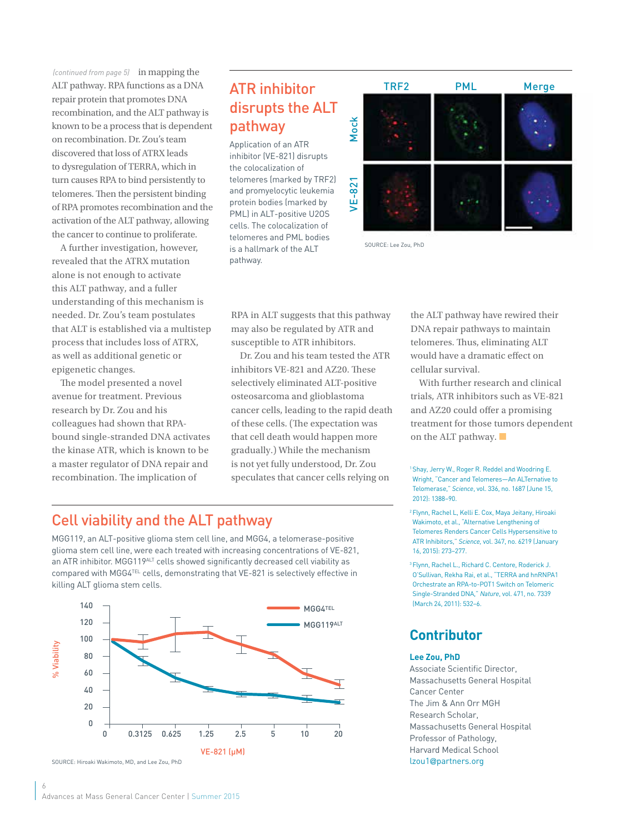(continued from page 5) in mapping the ALT pathway. RPA functions as a DNA repair protein that promotes DNA recombination, and the ALT pathway is known to be a process that is dependent on recombination. Dr. Zou's team discovered that loss of ATRX leads to dysregulation of TERRA, which in turn causes RPA to bind persistently to telomeres. Then the persistent binding of RPA promotes recombination and the activation of the ALT pathway, allowing the cancer to continue to proliferate.

A further investigation, however, revealed that the ATRX mutation alone is not enough to activate this ALT pathway, and a fuller understanding of this mechanism is needed. Dr. Zou's team postulates that ALT is established via a multistep process that includes loss of ATRX, as well as additional genetic or epigenetic changes.

The model presented a novel avenue for treatment. Previous research by Dr. Zou and his colleagues had shown that RPAbound single-stranded DNA activates the kinase ATR, which is known to be a master regulator of DNA repair and recombination. The implication of

# ATR inhibitor disrupts the ALT pathway

Application of an ATR inhibitor (VE-821) disrupts the colocalization of telomeres (marked by TRF2) and promyelocytic leukemia protein bodies (marked by PML) in ALT-positive U2OS cells. The colocalization of telomeres and PML bodies is a hallmark of the ALT pathway.



SOURCE: Lee Zou, PhD

RPA in ALT suggests that this pathway may also be regulated by ATR and susceptible to ATR inhibitors.

Dr. Zou and his team tested the ATR inhibitors VE-821 and AZ20. These selectively eliminated ALT-positive osteosarcoma and glioblastoma cancer cells, leading to the rapid death of these cells. (The expectation was that cell death would happen more gradually.) While the mechanism is not yet fully understood, Dr. Zou speculates that cancer cells relying on

the ALT pathway have rewired their DNA repair pathways to maintain telomeres. Thus, eliminating ALT would have a dramatic effect on cellular survival.

With further research and clinical trials, ATR inhibitors such as VE-821 and AZ20 could offer a promising treatment for those tumors dependent on the ALT pathway. ■

1 Shay, Jerry W., Roger R. Reddel and Woodring E. Wright, "Cancer and Telomeres—An ALTernative to Telomerase," *Science*, vol. 336, no. 1687 (June 15, 2012): 1388–90.

2 Flynn, Rachel L, Kelli E. Cox, Maya Jeitany, Hiroaki Wakimoto, et al., "Alternative Lengthening of Telomeres Renders Cancer Cells Hypersensitive to ATR Inhibitors," *Science,* vol. 347, no. 6219 (January 16, 2015): 273–277.

3 Flynn, Rachel L., Richard C. Centore, Roderick J. O'Sullivan, Rekha Rai, et al., "TERRA and hnRNPA1 Orchestrate an RPA-to-POT1 Switch on Telomeric Single-Stranded DNA," *Nature*, vol. 471, no. 7339 (March 24, 2011): 532–6.

# **Contributor**

### **Lee Zou, PhD**

Associate Scientific Director, Massachusetts General Hospital Cancer Center The Jim & Ann Orr MGH Research Scholar, Massachusetts General Hospital Professor of Pathology, Harvard Medical School lzou1@partners.org

# Cell viability and the ALT pathway

MGG119, an ALT-positive glioma stem cell line, and MGG4, a telomerase-positive glioma stem cell line, were each treated with increasing concentrations of VE-821, an ATR inhibitor. MGG119<sup>ALT</sup> cells showed significantly decreased cell viability as compared with MGG4TEL cells, demonstrating that VE-821 is selectively effective in killing ALT glioma stem cells.



6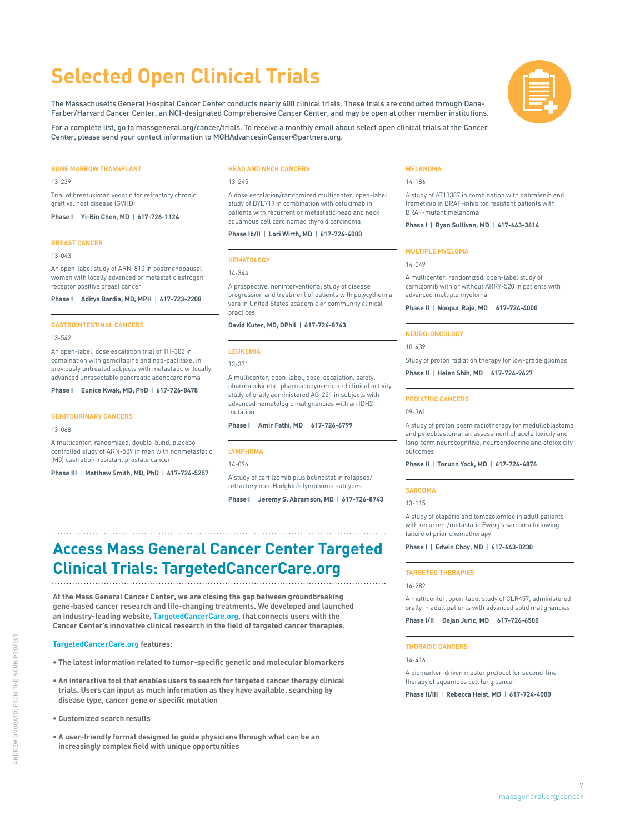# **Selected Open Clinical Trials**

The Massachusetts General Hospital Cancer Center conducts nearly 400 clinical trials. These trials are conducted through Dana-Farber/Harvard Cancer Center, an NCI-designated Comprehensive Cancer Center, and may be open at other member institutions.

For a complete list, go to massgeneral.org/cancer/trials. To receive a monthly email about select open clinical trials at the Cancer Center, please send your contact information to MGHAdvancesinCancer@partners.org.

#### **BONE MARROW TRANSPLANT**

13-239

Trial of brentuximab vedotin for refractory chronic graft vs. host disease (GVHD)

**Phase I** | **Yi-Bin Chen, MD** | **617-726-1124**

#### **BREAST CANCER**

13-043

An open-label study of ARN-810 in postmenopausal women with locally advanced or metastatic estrogen receptor positive breast cancer

**Phase I** | **Aditya Bardia, MD, MPH** | **617-723-2208**

#### **GASTROINTESTINAL CANCERS**

13-542

An open-label, dose escalation trial of TH-302 in combination with gemcitabine and nab-paclitaxel in previously untreated subjects with metastatic or locally advanced unresectable pancreatic adenocarcinoma

**Phase I** | **Eunice Kwak, MD, PhD** | **617-726-8478**

#### **GENITOURINARY CANCERS**

#### 13-068

A multicenter, randomized, double-blind, placebocontrolled study of ARN-509 in men with nonmetastatic (M0) castration-resistant prostate cancer

**Phase III** | **Matthew Smith, MD, PhD** | **617-724-5257**

#### **HEAD AND NECK CANCERS**

13-245

A dose escalation/randomized multicenter, open-label study of BYL719 in combination with cetuximab in patients with recurrent or metastatic head and neck squamous cell carcinomad thyroid carcinoma

**Phase Ib/II** | **Lori Wirth, MD** | **617-724-4000**

#### **HEMATOLOGY**

14-344

A prospective, noninterventional study of disease progression and treatment of patients with polycythemia vera in United States academic or community clinical practices

**David Kuter, MD, DPhil** | **617-726-8743**

#### **LEUKEMIA**

13-371

A multicenter, open-label, dose-escalation, safety, pharmacokinetic, pharmacodynamic and clinical activity study of orally administered AG-221 in subjects with advanced hematologic malignancies with an IDH2 mutation

**Phase I** | **Amir Fathi, MD** | **617-726-6799**

#### **LYMPHOMA**

14-096

A study of carfilzomib plus belinostat in relapsed/ refractory non-Hodgkin's lymphoma subtypes

**Phase I** | **Jeremy S. Abramson, MD** | **617-726-8743**

# **Access Mass General Cancer Center Targeted Clinical Trials: TargetedCancerCare.org**

**At the Mass General Cancer Center, we are closing the gap between groundbreaking gene-based cancer research and life-changing treatments. We developed and launched an industry-leading website, TargetedCancerCare.org, that connects users with the Cancer Center's innovative clinical research in the field of targeted cancer therapies.**

#### **TargetedCancerCare.org features:**

- **The latest information related to tumor-specific genetic and molecular biomarkers**
- **An interactive tool that enables users to search for targeted cancer therapy clinical trials. Users can input as much information as they have available, searching by disease type, cancer gene or specific mutation**
- **Customized search results**
- **A user-friendly format designed to guide physicians through what can be an increasingly complex field with unique opportunities**

#### **MELANOMA**

14-186

A study of AT13387 in combination with dabrafenib and trametinib in BRAF-inhibitor resistant patients with BRAF-mutant melanoma

**Phase I** | **Ryan Sullivan, MD** | **617-643-3614**

#### **MULTIPLE MYELOMA**

#### 14-049

A multicenter, randomized, open-label study of carfilzomib with or without ARRY-520 in patients with advanced multiple myeloma

**Phase II** | **Noopur Raje, MD** | **617-724-4000**

#### **NEURO-ONCOLOGY**

10-439

Study of proton radiation therapy for low-grade gliomas

**Phase II** | **Helen Shih, MD** | **617-724-9627**

#### **PEDIATRIC CANCERS**

09-361

A study of proton beam radiotherapy for medulloblastoma and pineoblastoma: an assessment of acute toxicity and long-term neurocognitive, neuroendocrine and ototoxicity outcomes

#### **Phase II** | **Torunn Yock, MD** | **617-726-6876**

#### **SARCOMA**

13-115

A study of olaparib and temozolomide in adult patients with recurrent/metastatic Ewing's sarcoma following failure of prior chemotherapy

**Phase I** | **Edwin Choy, MD** | **617-643-0230**

#### **TARGETED THERAPIES**

#### 14-282

A multicenter, open-label study of CLR457, administered orally in adult patients with advanced solid malignancies

**Phase I/II** | **Dejan Juric, MD** | **617-726-6500**

#### **THORACIC CANCERS**

 $1/4 - 1/16$ 

A biomarker-driven master protocol for second-line therapy of squamous cell lung cancer

**Phase II/III** | **Rebecca Heist, MD** | **617-724-4000**